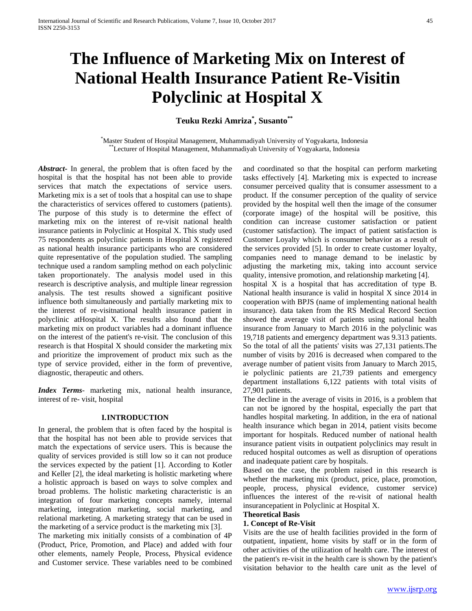# **The Influence of Marketing Mix on Interest of National Health Insurance Patient Re-Visitin Polyclinic at Hospital X**

## **Teuku Rezki Amriza\* , Susanto\*\***

\*Master Student of Hospital Management, Muhammadiyah University of Yogyakarta, Indonesia \*\*Lecturer of Hospital Management, Muhammadiyah University of Yogyakarta, Indonesia

*Abstract***-** In general, the problem that is often faced by the hospital is that the hospital has not been able to provide services that match the expectations of service users. Marketing mix is a set of tools that a hospital can use to shape the characteristics of services offered to customers (patients). The purpose of this study is to determine the effect of marketing mix on the interest of re-visit national health insurance patients in Polyclinic at Hospital X. This study used 75 respondents as polyclinic patients in Hospital X registered as national health insurance participants who are considered quite representative of the population studied. The sampling technique used a random sampling method on each polyclinic taken proportionately. The analysis model used in this research is descriptive analysis, and multiple linear regression analysis. The test results showed a significant positive influence both simultaneously and partially marketing mix to the interest of re-visitnational health insurance patient in polyclinic atHospital X. The results also found that the marketing mix on product variables had a dominant influence on the interest of the patient's re-visit. The conclusion of this research is that Hospital X should consider the marketing mix and prioritize the improvement of product mix such as the type of service provided, either in the form of preventive, diagnostic, therapeutic and others.

*Index Terms*- marketing mix, national health insurance, interest of re- visit, hospital

#### **I.INTRODUCTION**

In general, the problem that is often faced by the hospital is that the hospital has not been able to provide services that match the expectations of service users. This is because the quality of services provided is still low so it can not produce the services expected by the patient [1]. According to Kotler and Keller [2], the ideal marketing is holistic marketing where a holistic approach is based on ways to solve complex and broad problems. The holistic marketing characteristic is an integration of four marketing concepts namely, internal marketing, integration marketing, social marketing, and relational marketing. A marketing strategy that can be used in the marketing of a service product is the marketing mix [3].

The marketing mix initially consists of a combination of 4P (Product, Price, Promotion, and Place) and added with four other elements, namely People, Process, Physical evidence and Customer service. These variables need to be combined

and coordinated so that the hospital can perform marketing tasks effectively [4]. Marketing mix is expected to increase consumer perceived quality that is consumer assessment to a product. If the consumer perception of the quality of service provided by the hospital well then the image of the consumer (corporate image) of the hospital will be positive, this condition can increase customer satisfaction or patient (customer satisfaction). The impact of patient satisfaction is Customer Loyalty which is consumer behavior as a result of the services provided [5]. In order to create customer loyalty, companies need to manage demand to be inelastic by adjusting the marketing mix, taking into account service quality, intensive promotion, and relationship marketing [4].

hospital X is a hospital that has accreditation of type B. National health insurance is valid in hospital X since 2014 in cooperation with BPJS (name of implementing national health insurance). data taken from the RS Medical Record Section showed the average visit of patients using national health insurance from January to March 2016 in the polyclinic was 19,718 patients and emergency department was 9.313 patients. So the total of all the patients' visits was 27,131 patients.The number of visits by 2016 is decreased when compared to the average number of patient visits from January to March 2015, ie polyclinic patients are 21,739 patients and emergency department installations 6,122 patients with total visits of 27,901 patients.

The decline in the average of visits in 2016, is a problem that can not be ignored by the hospital, especially the part that handles hospital marketing. In addition, in the era of national health insurance which began in 2014, patient visits become important for hospitals. Reduced number of national health insurance patient visits in outpatient polyclinics may result in reduced hospital outcomes as well as disruption of operations and inadequate patient care by hospitals.

Based on the case, the problem raised in this research is whether the marketing mix (product, price, place, promotion, people, process, physical evidence, customer service) influences the interest of the re-visit of national health insurancepatient in Polyclinic at Hospital X.

## **Theoretical Basis**

#### **1. Concept of Re-Visit**

Visits are the use of health facilities provided in the form of outpatient, inpatient, home visits by staff or in the form of other activities of the utilization of health care. The interest of the patient's re-visit in the health care is shown by the patient's visitation behavior to the health care unit as the level of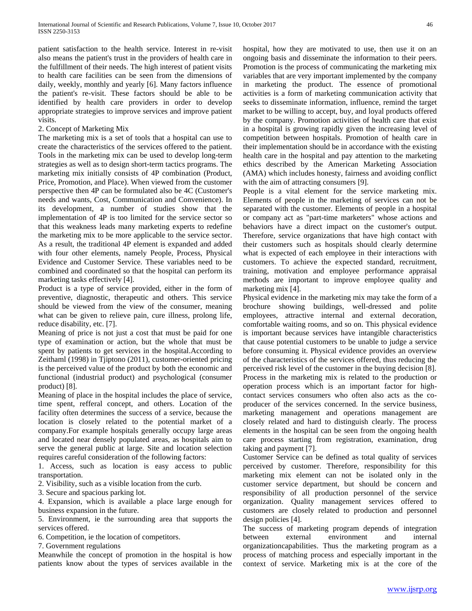patient satisfaction to the health service. Interest in re-visit also means the patient's trust in the providers of health care in the fulfillment of their needs. The high interest of patient visits to health care facilities can be seen from the dimensions of daily, weekly, monthly and yearly [6]. Many factors influence the patient's re-visit. These factors should be able to be identified by health care providers in order to develop appropriate strategies to improve services and improve patient visits.

## 2. Concept of Marketing Mix

The marketing mix is a set of tools that a hospital can use to create the characteristics of the services offered to the patient. Tools in the marketing mix can be used to develop long-term strategies as well as to design short-term tactics programs. The marketing mix initially consists of 4P combination (Product, Price, Promotion, and Place). When viewed from the customer perspective then 4P can be formulated also be 4C (Customer's needs and wants, Cost, Communication and Convenience). In its development, a number of studies show that the implementation of 4P is too limited for the service sector so that this weakness leads many marketing experts to redefine the marketing mix to be more applicable to the service sector. As a result, the traditional 4P element is expanded and added with four other elements, namely People, Process, Physical Evidence and Customer Service. These variables need to be combined and coordinated so that the hospital can perform its marketing tasks effectively [4].

Product is a type of service provided, either in the form of preventive, diagnostic, therapeutic and others. This service should be viewed from the view of the consumer, meaning what can be given to relieve pain, cure illness, prolong life, reduce disability, etc. [7].

Meaning of price is not just a cost that must be paid for one type of examination or action, but the whole that must be spent by patients to get services in the hospital.According to Zeithaml (1998) in Tjiptono (2011), customer-oriented pricing is the perceived value of the product by both the economic and functional (industrial product) and psychological (consumer product) [8].

Meaning of place in the hospital includes the place of service, time spent, refferal concept, and others. Location of the facility often determines the success of a service, because the location is closely related to the potential market of a company.For example hospitals generally occupy large areas and located near densely populated areas, as hospitals aim to serve the general public at large. Site and location selection requires careful consideration of the following factors:

1. Access, such as location is easy access to public transportation.

2. Visibility, such as a visible location from the curb.

3. Secure and spacious parking lot.

4. Expansion, which is available a place large enough for business expansion in the future.

5. Environment, ie the surrounding area that supports the services offered.

6. Competition, ie the location of competitors.

7. Government regulations

Meanwhile the concept of promotion in the hospital is how patients know about the types of services available in the hospital, how they are motivated to use, then use it on an ongoing basis and disseminate the information to their peers. Promotion is the process of communicating the marketing mix variables that are very important implemented by the company in marketing the product. The essence of promotional activities is a form of marketing communication activity that seeks to disseminate information, influence, remind the target market to be willing to accept, buy, and loyal products offered by the company. Promotion activities of health care that exist in a hospital is growing rapidly given the increasing level of competition between hospitals. Promotion of health care in their implementation should be in accordance with the existing health care in the hospital and pay attention to the marketing ethics described by the American Marketing Association (AMA) which includes honesty, fairness and avoiding conflict with the aim of attracting consumers [9].

People is a vital element for the service marketing mix. Elements of people in the marketing of services can not be separated with the customer. Elements of people in a hospital or company act as "part-time marketers" whose actions and behaviors have a direct impact on the customer's output. Therefore, service organizations that have high contact with their customers such as hospitals should clearly determine what is expected of each employee in their interactions with customers. To achieve the expected standard, recruitment, training, motivation and employee performance appraisal methods are important to improve employee quality and marketing mix [4].

Physical evidence in the marketing mix may take the form of a brochure showing buildings, well-dressed and polite employees, attractive internal and external decoration, comfortable waiting rooms, and so on. This physical evidence is important because services have intangible characteristics that cause potential customers to be unable to judge a service before consuming it. Physical evidence provides an overview of the characteristics of the services offered, thus reducing the perceived risk level of the customer in the buying decision [8]. Process in the marketing mix is related to the production or operation process which is an important factor for highcontact services consumers who often also acts as the coproducer of the services concerned. In the service business, marketing management and operations management are closely related and hard to distinguish clearly. The process elements in the hospital can be seen from the ongoing health care process starting from registration, examination, drug taking and payment [7].

Customer Service can be defined as total quality of services perceived by customer. Therefore, responsibility for this marketing mix element can not be isolated only in the customer service department, but should be concern and responsibility of all production personnel of the service organization. Quality management services offered to customers are closely related to production and personnel design policies [4].

The success of marketing program depends of integration between external environment and internal organizationcapabilities. Thus the marketing program as a process of matching process and especially important in the context of service. Marketing mix is at the core of the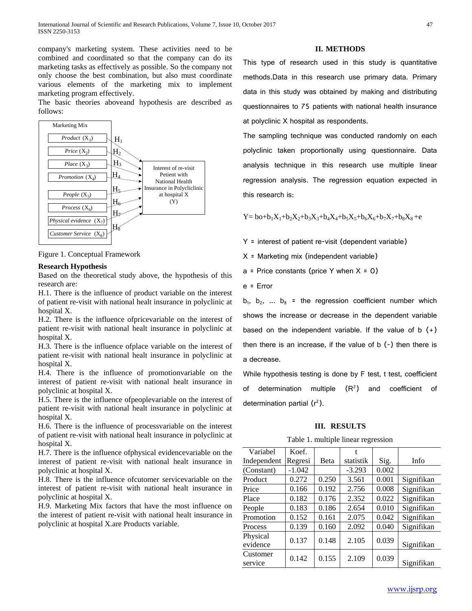company's marketing system. These activities need to be combined and coordinated so that the company can do its marketing tasks as effectively as possible. So the company not only choose the best combination, but also must coordinate various elements of the marketing mix to implement marketing program effectively.

The basic theories aboveand hypothesis are described as follows:



Figure 1. Conceptual Framework

#### **Research Hypothesis**

Based on the theoretical study above, the hypothesis of this research are:

H.1. There is the influence of product variable on the interest of patient re-visit with national healt insurance in polyclinic at hospital X.

H.2. There is the influence ofpricevariable on the interest of patient re-visit with national healt insurance in polyclinic at hospital X.

H.3. There is the influence ofplace variable on the interest of patient re-visit with national healt insurance in polyclinic at hospital X.

H.4. There is the influence of promotionvariable on the interest of patient re-visit with national healt insurance in polyclinic at hospital X.

H.5. There is the influence ofpeoplevariable on the interest of patient re-visit with national healt insurance in polyclinic at hospital X.

H.6. There is the influence of processvariable on the interest of patient re-visit with national healt insurance in polyclinic at hospital X.

H.7. There is the influence ofphysical evidencevariable on the interest of patient re-visit with national healt insurance in polyclinic at hospital X.

H.8. There is the influence ofcutomer servicevariable on the interest of patient re-visit with national healt insurance in polyclinic at hospital X.

H.9. Marketing Mix factors that have the most influence on the interest of patient re-visit with national healt insurance in polyclinic at hospital X.are Products variable.

#### **II. METHODS**

This type of research used in this study is quantitative methods.Data in this research use primary data. Primary data in this study was obtained by making and distributing questionnaires to 75 patients with national health insurance at polyclinic X hospital as respondents.

The sampling technique was conducted randomly on each polyclinic taken proportionally using questionnaire. Data analysis technique in this research use multiple linear regression analysis. The regression equation expected in this research is:

 $Y = b_0 + b_1X_1 + b_2X_2 + b_3X_3 + b_4X_4 + b_5X_5 + b_6X_6 + b_7X_7 + b_8X_8 + e$ 

Y = interest of patient re-visit (dependent variable)

X = Marketing mix (independent variable)

 $a =$  Price constants (price Y when  $X = 0$ )

e = Error

 $b_1$ ,  $b_2$ , ...  $b_8$  = the regression coefficient number which shows the increase or decrease in the dependent variable based on the independent variable. If the value of  $b (+)$ then there is an increase, if the value of  $b$  (-) then there is a decrease.

While hypothesis testing is done by F test, t test, coefficient of determination multiple  $(R^2)$  and coefficient of determination partial  $(r^2)$ .

#### **III. RESULTS**



| Variabel             | Koef.    |       |           |       |            |
|----------------------|----------|-------|-----------|-------|------------|
| Independent          | Regresi  | Beta  | statistik | Sig.  | Info       |
| (Constant)           | $-1.042$ |       | $-3.293$  | 0.002 |            |
| Product              | 0.272    | 0.250 | 3.561     | 0.001 | Signifikan |
| Price                | 0.166    | 0.192 | 2.756     | 0.008 | Signifikan |
| Place                | 0.182    | 0.176 | 2.352     | 0.022 | Signifikan |
| People               | 0.183    | 0.186 | 2.654     | 0.010 | Signifikan |
| Promotion            | 0.152    | 0.161 | 2.075     | 0.042 | Signifikan |
| Process              | 0.139    | 0.160 | 2.092     | 0.040 | Signifikan |
| Physical<br>evidence | 0.137    | 0.148 | 2.105     | 0.039 | Signifikan |
| Customer<br>service  | 0.142    | 0.155 | 2.109     | 0.039 | Signifikan |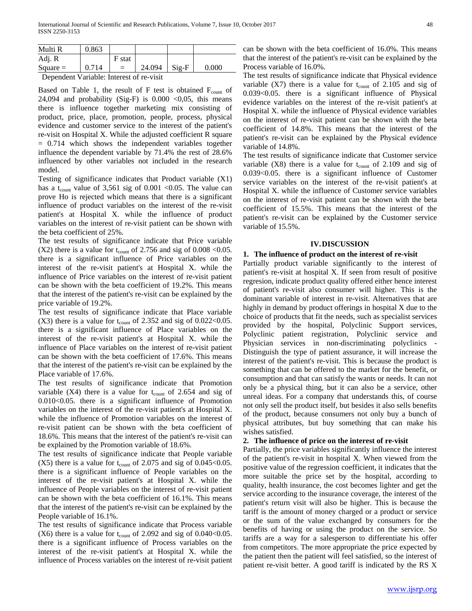| Multi R    | 0.863 |        |        |         |       |
|------------|-------|--------|--------|---------|-------|
| Adj. R     |       | F stat |        |         |       |
| $Square =$ | 0.714 | $=$    | 24.094 | $Si2-F$ | 0.000 |

Dependent Variable: Interest of re-visit

Based on Table 1, the result of F test is obtained  $F_{\text{count}}$  of 24,094 and probability (Sig-F) is  $0.000 \le 0.05$ , this means there is influence together marketing mix consisting of product, price, place, promotion, people, process, physical evidence and customer service to the interest of the patient's re-visit on Hospital X. While the adjusted coefficient R square = 0.714 which shows the independent variables together influence the dependent variable by 71.4% the rest of 28.6% influenced by other variables not included in the research model.

Testing of significance indicates that Product variable (X1) has a t<sub>count</sub> value of 3,561 sig of 0.001 < 0.05. The value can prove Ho is rejected which means that there is a significant influence of product variables on the interest of the re-visit patient's at Hospital X. while the influence of product variables on the interest of re-visit patient can be shown with the beta coefficient of 25%.

The test results of significance indicate that Price variable  $(X2)$  there is a value for t<sub>count</sub> of 2.756 and sig of 0.008 < 0.05. there is a significant influence of Price variables on the interest of the re-visit patient's at Hospital X. while the influence of Price variables on the interest of re-visit patient can be shown with the beta coefficient of 19.2%. This means that the interest of the patient's re-visit can be explained by the price variable of 19.2%.

The test results of significance indicate that Place variable (X3) there is a value for  $t_{\text{count}}$  of 2.352 and sig of 0.022<0.05. there is a significant influence of Place variables on the interest of the re-visit patient's at Hospital X. while the influence of Place variables on the interest of re-visit patient can be shown with the beta coefficient of 17.6%. This means that the interest of the patient's re-visit can be explained by the Place variable of 17.6%.

The test results of significance indicate that Promotion variable  $(X4)$  there is a value for  $t_{\text{count}}$  of 2.654 and sig of 0.010<0.05. there is a significant influence of Promotion variables on the interest of the re-visit patient's at Hospital X. while the influence of Promotion variables on the interest of re-visit patient can be shown with the beta coefficient of 18.6%. This means that the interest of the patient's re-visit can be explained by the Promotion variable of 18.6%.

The test results of significance indicate that People variable  $(X5)$  there is a value for t<sub>count</sub> of 2.075 and sig of 0.045 < 0.05. there is a significant influence of People variables on the interest of the re-visit patient's at Hospital X. while the influence of People variables on the interest of re-visit patient can be shown with the beta coefficient of 16.1%. This means that the interest of the patient's re-visit can be explained by the People variable of 16.1%.

The test results of significance indicate that Process variable (X6) there is a value for  $t_{\text{count}}$  of 2.092 and sig of 0.040<0.05. there is a significant influence of Process variables on the interest of the re-visit patient's at Hospital X. while the influence of Process variables on the interest of re-visit patient can be shown with the beta coefficient of 16.0%. This means that the interest of the patient's re-visit can be explained by the Process variable of 16.0%.

The test results of significance indicate that Physical evidence variable  $(X7)$  there is a value for  $t_{\text{count}}$  of 2.105 and sig of 0.039<0.05. there is a significant influence of Physical evidence variables on the interest of the re-visit patient's at Hospital X. while the influence of Physical evidence variables on the interest of re-visit patient can be shown with the beta coefficient of 14.8%. This means that the interest of the patient's re-visit can be explained by the Physical evidence variable of 14.8%.

The test results of significance indicate that Customer service variable  $(X8)$  there is a value for  $t_{\text{count}}$  of 2.109 and sig of 0.039<0.05. there is a significant influence of Customer service variables on the interest of the re-visit patient's at Hospital X. while the influence of Customer service variables on the interest of re-visit patient can be shown with the beta coefficient of 15.5%. This means that the interest of the patient's re-visit can be explained by the Customer service variable of 15.5%.

## **IV.DISCUSSION**

## **1. The influence of product on the interest of re-visit**

Partially product variable significantly to the interest of patient's re-visit at hospital X. If seen from result of positive regresion, indicate product quality offered either hence interest of patient's re-visit also consumer will higher. This is the dominant variable of interest in re-visit. Alternatives that are highly in demand by product offerings in hospital X due to the choice of products that fit the needs, such as specialist services provided by the hospital, Polyclinic Support services, Polyclinic patient registration, Polyclinic service and Physician services in non-discriminating polyclinics - Distinguish the type of patient assurance, it will increase the interest of the patient's re-visit. This is because the product is something that can be offered to the market for the benefit, or consumption and that can satisfy the wants or needs. It can not only be a physical thing, but it can also be a service, other unreal ideas. For a company that understands this, of course not only sell the product itself, but besides it also sells benefits of the product, because consumers not only buy a bunch of physical attributes, but buy something that can make his wishes satisfied.

## **2. The influence of price on the interest of re-visit**

Partially, the price variables significantly influence the interest of the patient's re-visit in hospital X. When viewed from the positive value of the regression coefficient, it indicates that the more suitable the price set by the hospital, according to quality, health insurance, the cost becomes lighter and get the service according to the insurance coverage, the interest of the patient's return visit will also be higher. This is because the tariff is the amount of money charged or a product or service or the sum of the value exchanged by consumers for the benefits of having or using the product on the service. So tariffs are a way for a salesperson to differentiate his offer from competitors. The more appropriate the price expected by the patient then the patient will feel satisfied, so the interest of patient re-visit better. A good tariff is indicated by the RS X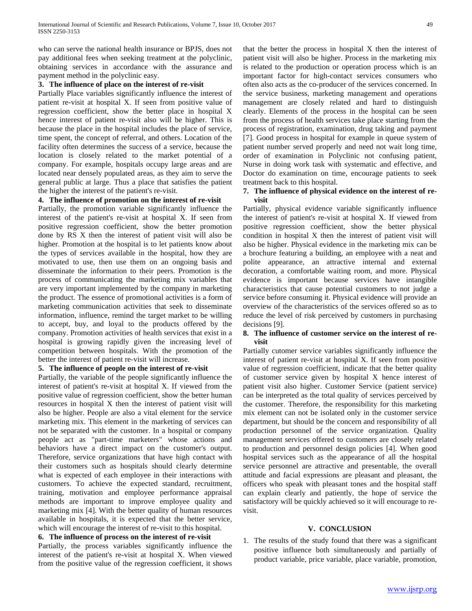who can serve the national health insurance or BPJS, does not pay additional fees when seeking treatment at the polyclinic, obtaining services in accordance with the assurance and payment method in the polyclinic easy.

#### **3. The influence of place on the interest of re-visit**

Partially Place variables significantly influence the interest of patient re-visit at hospital X. If seen from positive value of regression coefficient, show the better place in hospital X hence interest of patient re-visit also will be higher. This is because the place in the hospital includes the place of service, time spent, the concept of referral, and others. Location of the facility often determines the success of a service, because the location is closely related to the market potential of a company. For example, hospitals occupy large areas and are located near densely populated areas, as they aim to serve the general public at large. Thus a place that satisfies the patient the higher the interest of the patient's re-visit.

## **4. The influence of promotion on the interest of re-visit**

Partially, the promotion variable significantly influence the interest of the patient's re-visit at hospital X. If seen from positive regression coefficient, show the better promotion done by RS X then the interest of patient visit will also be higher. Promotion at the hospital is to let patients know about the types of services available in the hospital, how they are motivated to use, then use them on an ongoing basis and disseminate the information to their peers. Promotion is the process of communicating the marketing mix variables that are very important implemented by the company in marketing the product. The essence of promotional activities is a form of marketing communication activities that seek to disseminate information, influence, remind the target market to be willing to accept, buy, and loyal to the products offered by the company. Promotion activities of health services that exist in a hospital is growing rapidly given the increasing level of competition between hospitals. With the promotion of the better the interest of patient re-visit will increase.

## **5. The influence of people on the interest of re-visit**

Partially, the variable of the people significantly influence the interest of patient's re-visit at hospital X. If viewed from the positive value of regression coefficient, show the better human resources in hospital X then the interest of patient visit will also be higher. People are also a vital element for the service marketing mix. This element in the marketing of services can not be separated with the customer. In a hospital or company people act as "part-time marketers" whose actions and behaviors have a direct impact on the customer's output. Therefore, service organizations that have high contact with their customers such as hospitals should clearly determine what is expected of each employee in their interactions with customers. To achieve the expected standard, recruitment, training, motivation and employee performance appraisal methods are important to improve employee quality and marketing mix [4]. With the better quality of human resources available in hospitals, it is expected that the better service, which will encourage the interest of re-visit to this hospital.

## **6. The influence of process on the interest of re-visit**

Partially, the process variables significantly influence the interest of the patient's re-visit at hospital X. When viewed from the positive value of the regression coefficient, it shows

that the better the process in hospital X then the interest of patient visit will also be higher. Process in the marketing mix is related to the production or operation process which is an important factor for high-contact services consumers who often also acts as the co-producer of the services concerned. In the service business, marketing management and operations management are closely related and hard to distinguish clearly. Elements of the process in the hospital can be seen from the process of health services take place starting from the process of registration, examination, drug taking and payment [7]. Good process in hospital for example in queue system of patient number served properly and need not wait long time, order of examination in Polyclinic not confusing patient, Nurse in doing work task with systematic and effective, and Doctor do examination on time, encourage patients to seek treatment back to this hospital.

## **7. The influence of physical evidence on the interest of revisit**

Partially, physical evidence variable significantly influence the interest of patient's re-visit at hospital X. If viewed from positive regression coefficient, show the better physical condition in hospital X then the interest of patient visit will also be higher. Physical evidence in the marketing mix can be a brochure featuring a building, an employee with a neat and polite appearance, an attractive internal and external decoration, a comfortable waiting room, and more. Physical evidence is important because services have intangible characteristics that cause potential customers to not judge a service before consuming it. Physical evidence will provide an overview of the characteristics of the services offered so as to reduce the level of risk perceived by customers in purchasing decisions [9].

## **8. The influence of customer service on the interest of revisit**

Partially cutomer service variables significantly influence the interest of patient re-visit at hospital X. If seen from positive value of regression coefficient, indicate that the better quality of customer service given by hospital X hence interest of patient visit also higher. Customer Service (patient service) can be interpreted as the total quality of services perceived by the customer. Therefore, the responsibility for this marketing mix element can not be isolated only in the customer service department, but should be the concern and responsibility of all production personnel of the service organization. Quality management services offered to customers are closely related to production and personnel design policies [4]. When good hospital services such as the appearance of all the hospital service personnel are attractive and presentable, the overall attitude and facial expressions are pleasant and pleasant, the officers who speak with pleasant tones and the hospital staff can explain clearly and patiently, the hope of service the satisfactory will be quickly achieved so it will encourage to revisit.

#### **V. CONCLUSION**

1. The results of the study found that there was a significant positive influence both simultaneously and partially of product variable, price variable, place variable, promotion,